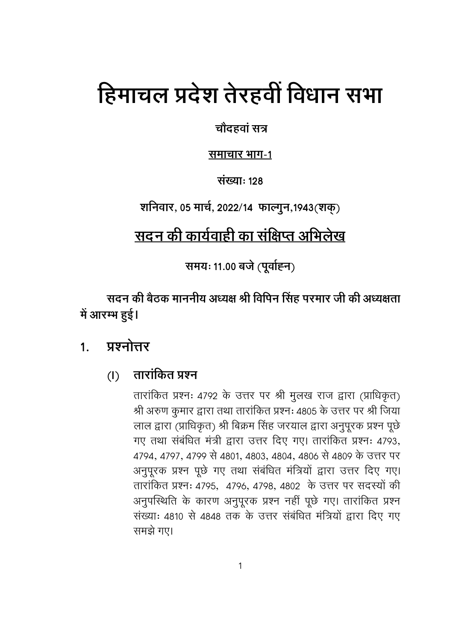# हिमाचल प्रदेश तेरहवीं विधान सभा

चौदहवां सत्र

समाचार भाग-1

संख्या: 128

शनिवार, 05 मार्च, 2022/14 फाल्गुन, 1943 (शक्)

# <u>सदन की कार्यवाही का संक्षिप्त अभिलेख</u>

समयः 11.00 बजे (पूर्वाह्न)

सदन की बैठक माननीय अध्यक्ष श्री विपिन सिंह परमार जी की अध्यक्षता में आरम्भ हुई।

#### प्रश्नोत्तर  $1<sub>1</sub>$

#### तारांकित प्रश्न  $(I)$

तारांकित प्रश्नः 4792 के उत्तर पर श्री मुलख राज द्वारा (प्राधिकृत) श्री अरुण कुमार द्वारा तथा तारांकित प्रश्नः 4805 के उत्तर पर श्री जिया लाल द्वारा (प्राधिकृत) श्री बिक्रम सिंह जरयाल द्वारा अनुपूरक प्रश्न पूछे गए तथा संबंधित मंत्री द्वारा उत्तर दिए गए। तारांकित प्रश्नः 4793, 4794, 4797, 4799 से 4801, 4803, 4804, 4806 से 4809 के उत्तर पर अनुपूरक प्रश्न पूछे गए तथा संबंधित मंत्रियों द्वारा उत्तर दिए गए। तारांकित प्रश्नः 4795, 4796, 4798, 4802 के उत्तर पर सदस्यों की अनुपस्थिति के कारण अनुपूरक प्रश्न नहीं पूछे गए। तारांकित प्रश्न संख्याः 4810 से 4848 तक के उत्तर संबंधित मंत्रियों द्वारा दिए गए समझे गए।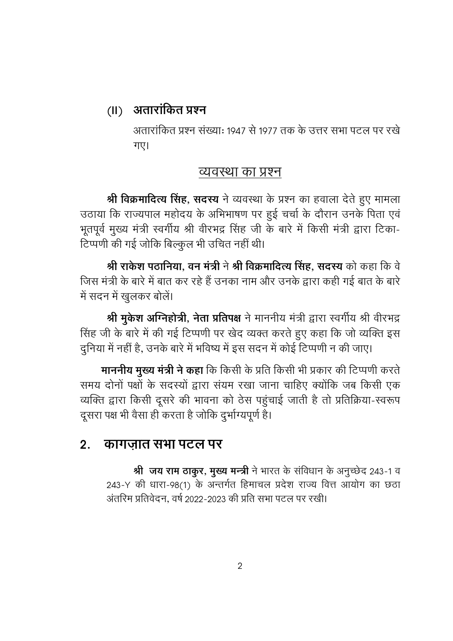# **(II) 1- D**

अतारांकित प्रश्न संख्याः १९४७ से १९७७ तक के उत्तर सभा पटल पर रखे गए।

## <u>व्यवस्था का प्रश्न</u>

**श्री विक्रमादित्य सिंह, सदस्य** ने व्यवस्था के प्रश्न का हवाला देते हुए मामला उठाया कि राज्यपाल महोदय के अभिभाषण पर हुई चर्चा के दौरान उनके पिता एवं भूतपूर्व मुख्य मंत्री स्वर्गीय श्री वीरभद्र सिंह जी के बारे में किसी मंत्री द्वारा टिका-टिप्पणी की गई जोकि बिल्कुल भी उचित नहीं थी।

**श्री राकेश पठानिया, वन मंत्री ने श्री विक्रमादित्य सिंह, संदस्य को कहा कि वे** जिस मंत्री के बारे में बात कर रहे हैं उनका नाम और उनके द्वारा कही गई बात के बारे में सदन में खुलकर बोलें।

**श्री मुकेश ओग्नेहोत्री, नेता प्रतिपक्ष** ने माननीय मंत्री द्वारा स्वगीय श्री वीरभद्र सिंह जी के बारे में की गई टिप्पणी पर खेद व्यक्त करते हुए कहा कि जो व्यक्ति इस दुनिया में नहीं है, उनके बारे में भविष्य में इस सदन में कोई टिप्पणी न की जाए।

**माननीय मुख्य मंत्री ने कहा** कि किसी के प्रति किसी भी प्रकार की टिप्पणी करते समय दोनों पक्षों के सदस्यों द्वारा संयम रखा जाना चाहिए क्योंकि जब किसी एक व्यक्ति द्वारा किसी दूसरे की भावना को ठेस पहुंचाई जाती है तो प्रतिक्रिया-स्वरूप दूसरा पक्ष भी वैसा ही करता है जोकि दुर्भाग्यपूर्ण है।

### <u>2. कागजात सभा पटल पर</u>

श्री जय राम ठाकुर, मुख्य मन्त्री ने भारत के संविधान के अनुच्छेद 243-1 व 243-Y की धारा-98(1) के अन्तर्गत हिमाचल प्रदेश राज्य वित्त आयोग का छठा अंतरिम प्रतिवेदन, वर्ष 2022-2023 की प्रति सभा पटल पर रखी।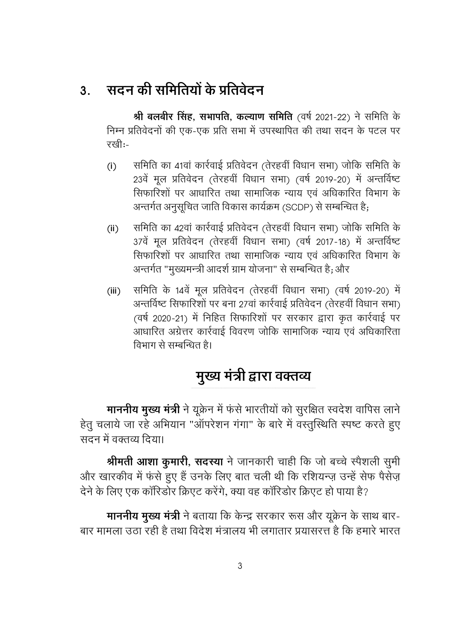# <u>3. सदन की समितियों के प्रतिवेदन</u>

**श्री बलबीर सिंह, सभापति, कल्याण समिति** (वर्ष 2021-22) ने समिति के निम्न प्रतिवेदनों की एक-एक प्रति सभा में उपस्थापित की तथा सदन के पटल पर ररवी:-

- (i) समिति का 41वां कार्रवाई प्रतिवेदन (तेरहवीं विधान सभा) जोकि समिति के 23वें मुल प्रतिवेदन (तेरहवीं विधान सभा) (वर्ष 2019-20) में अन्तर्विष्ट सिफारिशों पर आधारित तथा सामाजिक न्याय एवं अधिकारित विभाग के अन्तर्गत अनुसूचित जाति विकास कार्यक्रम (SCDP) से सम्बन्धित है;
- (ii) समिति का 42वां कार्रवाई प्रतिवेदन (तेरहवीं विधान सभा) जोकि समिति के 37वें मूल प्रतिवेदन (तेरहवीं विधान सभा) (वर्ष 2017-18) में अन्तर्विष्ट सिफारिशों पर आधारित तथा सामाजिक न्याय एवं अधिकारित विभाग के अन्तर्गत "मुख्यमन्त्री आदर्श ग्राम योजना" से सम्बन्धित है; और
- (iii) समिति के 14वें मूल प्रतिवेदन (तेरहवीं विधान सभा) (वर्ष 2019-20) में अन्तर्विष्ट सिफारिशों पर बना 27वां कार्रवाई प्रतिवेदन (तेरहवीं विधान सभा) (वर्ष 2020-21) में निहित सिफारिशों पर सरकार द्वारा कृत कार्रवाई पर आधारित अग्रेत्तर कार्रवाई विवरण जोकि सामाजिक न्याय एवं अधिकारिता विभाग से सम्बन्धित है।

# मुख्य मंत्री द्वारा वक्तव्य

**माननीय मुख्य मंत्री** ने यूक्रेन में फंसे भारतीयों को सुरक्षित स्वदेश वापिस लाने हेतु चलाये जा रहे अभियान "ऑपरेशन गंगा" के बारे में वस्तुस्थिति स्पष्ट करते हुए सदन में वक्तव्य दिया।

**श्रीमती आशा कुमारी, सदस्या** ने जानकारी चाही कि जो बच्चे स्पेशली सुमी और खारकीव में फंसे हुए हैं उनके लिए बात चली थी कि रशियन्ज़ उन्हें सेफ पैसेज़ देने के लिए एक कॉरिडोर क्रिएट करेंगे. क्या वह कॉरिडोर क्रिएट हो पाया है?

**माननीय मुख्य मंत्री** ने बताया कि केन्द्र सरकार रूस और यूक्रेन के साथ बार-बार मामला उठा रही है तथा विदेश मंत्रालय भी लगातार प्रयासरत्त है कि हमारे भारत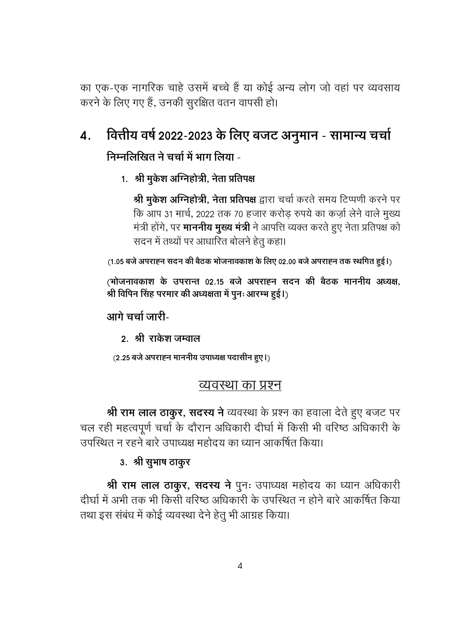का एक-एक नागरिक चाहे उसमें बच्चे हैं या कोई अन्य लोग जो वहां पर व्यवसाय करने के लिए गए हैं, उनकी सुरक्षित वतन वापसी हो।

#### वित्तीय वर्ष 2022-2023 के लिए बजट अनुमान - सामान्य चर्चा  $\boldsymbol{4}$ . निम्नलिखित ने चर्चा में भाग लिया -

1. श्री मुकेश अग्निहोत्री, नेता प्रतिपक्ष

श्री मुकेश अग्निहोत्री, नेता प्रतिपक्ष द्वारा चर्चा करते समय टिप्पणी करने पर कि आप 31 मार्च, 2022 तक 70 हजार करोड़ रुपये का कर्ज़ा लेने वाले मुख्य मंत्री होंगे, पर **माननीय मुख्य मंत्री** ने आपत्ति व्यक्त करते हुए नेता प्रतिपक्ष को सदन में तथ्यों पर आधारित बोलने हेतू कहा।

(1.05 बजे अपराह्न सदन की बैठक भोजनावकाश के लिए 02.00 बजे अपराह्न तक स्थगित हुई।)

(भोजनावकाश के उपरान्त 02.15 बजे अपराह्न सदन की बैठक माननीय अध्यक्ष, श्री विपिन सिंह परमार की अध्यक्षता में पुनः आरम्भ हुई।)

आगे चर्चा जारी-

२. श्री राकेश जम्वाल

(2.25 बजे अपराह्न माननीय उपाध्यक्ष पदासीन हुए।)

### व्यवस्था का प्रश्न

श्री राम लाल ठाकुर, सदस्य ने व्यवस्था के प्रश्न का हवाला देते हुए बजट पर चल रही महत्वपूर्ण चर्चा के दौरान अधिकारी दीर्घा में किसी भी वरिष्ठ अधिकारी के उपस्थित न रहने बारे उपाध्यक्ष महोदय का ध्यान आकर्षित किया।

### 3. श्री सूभाष ठाकुर

श्री राम लाल ठाकुर, सदस्य ने पुनः उपाध्यक्ष महोदय का ध्यान अधिकारी दीर्घा में अभी तक भी किसी वरिष्ठ अधिकारी के उपस्थित न होने बारे आकर्षित किया तथा इस संबंध में कोई व्यवस्था देने हेतु भी आग्रह किया।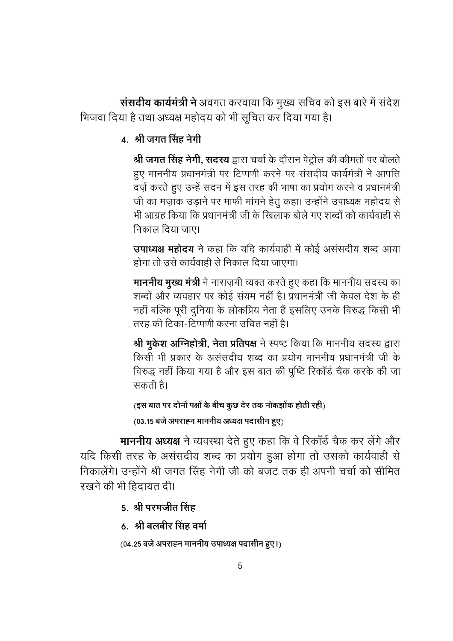संसदीय कार्यमंत्री ने अवगत करवाया कि मुख्य सचिव को इस बारे में संदेश भिजवा दिया है तथा अध्यक्ष महोदय को भी सूचित कर दिया गया है।

4 श्री जगत सिंह नेगी

श्री जगत सिंह नेगी, सदस्य द्वारा चर्चा के दौरान पेट्रोल की कीमतों पर बोलते हुए माननीय प्रधानमंत्री पर टिप्पणी करने पर संसदीय कार्यमंत्री ने आपत्ति दर्ज़ करते हुए उन्हें सदन में इस तरह की भाषा का प्रयोग करने व प्रधानमंत्री जी का मज़ाक उड़ाने पर माफी मांगने हेतू कहा। उन्होंने उपाध्यक्ष महोदय से भी आग्रह किया कि प्रधानमंत्री जी के खिलाफ बोले गए शब्दों को कार्यवाही से निकाल दिया जाए।

**उपाध्यक्ष महोदय** ने कहा कि यदि कार्यवाही में कोई असंसदीय शब्द आया होगा तो उसे कार्यवाही से निकाल दिया जाएगा।

**माननीय मुख्य मंत्री** ने नाराज़गी व्यक्त करते हुए कहा कि माननीय सदस्य का शब्दों और व्यवहार पर कोई संयम नहीं है। प्रधानमंत्री जी केवल देश के ही नहीं बल्कि पूरी दुनिया के लोकप्रिय नेता हैं इसलिए उनके विरुद्ध किसी भी तरह की टिका-टिप्पणी करना उचित नहीं है।

**श्री मुकेश ओग्नेहोत्री, नेता प्रतिपक्ष** ने स्पष्ट किया कि माननीय सदस्य द्वारा किसी भी प्रकार के असंसदीय शब्द का प्रयोग माननीय प्रधानमंत्री जी के विरुद्ध नहीं किया गया है और इस बात की पुष्टि रिकॉर्ड चैक करके की जा सकती है।

```
(इस बात पर दोनों पक्षों के बीच कुछ देर तक नोकझोंक होती रही<sub>)</sub>
```
(03.15 बजे अपराह्न माननीय अध्यक्ष पदासीन हुए)

**माननीय अध्यक्ष** ने व्यवस्था देते हुए कहा कि वे रिकॉर्ड चैक कर लेंगे और यदि किसी तरह के असंसदीय शब्द का प्रयोग हुआ होगा तो उसको कार्यवाही से निकालेंगे। उन्होंने श्री जगत सिंह नेगी जी को बजट तक ही अपनी चर्चा को सीमित रखने की भी हिदायत दी।

- 5. श्री परमजीत सिंह
- <u>6. श्री बलबीर सिंह वर्मा</u>

(04.25 बजे अपराहन माननीय उपाध्यक्ष पदासीन हुए।)